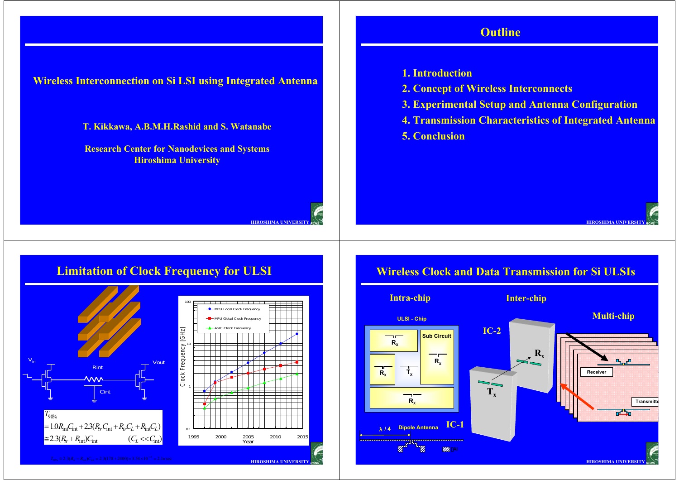**HIROSHIMA UNIVERSITY** *RCNS*

**Wireless Interconnection on Si LSI using Integrated Antenna**

**T. Kikkawa, A.B.M.H.Rashid and S. Watanabe**

**Research Center for Nanodevices and Systems Hiroshima University**

### **1. Introduction**

**2. Concept of Wireless Interconnects**

**Outline**

- **3. Experimental Setup and Antenna Configuration**
- **4. Transmission Characteristics of Integrated Antenna**

**HIROSHIMA UNIVERSITY**

*RCNS*

**5. Conclusion**

### **Limitation of Clock Frequency for ULSI**



# **Wireless Clock and Data Transmission for Si ULSIs**

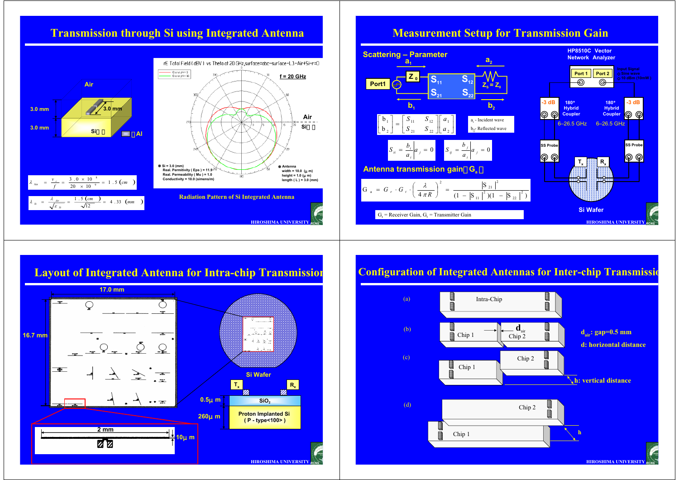### **Transmission through Si using Integrated Antenna**



### **Measurement Setup for Transmission Gain**



## **Layout of Integrated Antenna for Intra-chip Transmission**



### **Configuration of Integrated Antennas for Inter-chip Transmissio**

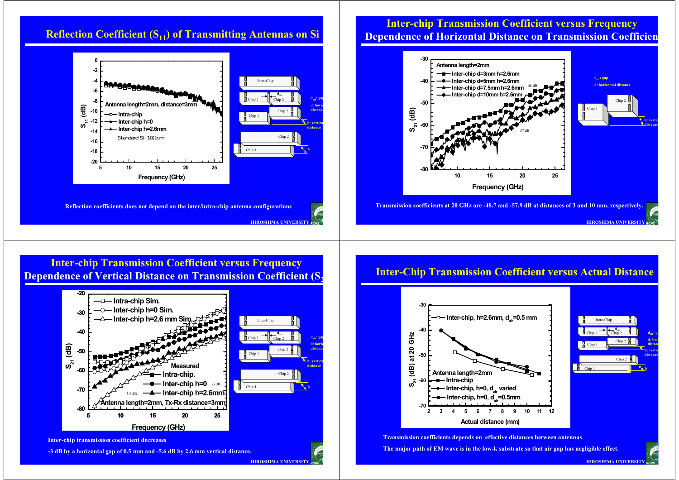

### **Inter-chip Transmission Coefficient versus Frequency Dependence of Horizontal Distance on Transmission Coefficien**



### **Inter-chip Transmission Coefficient versus Frequency Dependence of Vertical Distance on Transmission Coefficient (S<sub>2</sub>**



**HIROSHIMA UNIVERSITY** *RCNS*

### **-3 dB by a horizontal gap of 0.5 mm and -5.6 dB by 2.6 mm vertical distance.**

### **Inter-Chip Transmission Coefficient versus Actual Distance**



**Transmission coefficients depends on effective distances between antennas The major path of EM wave is in the low-k substrate so that air gap has negligible effect.**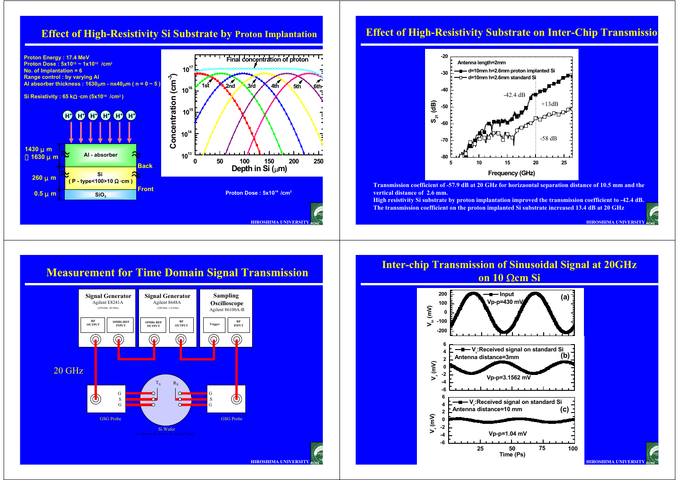

### **Effect of High-Resistivity Substrate on Inter-Chip Transmission**



**Transmission coefficient of -57.9 dB at 20 GHz for horizaontal separation distance of 10.5 mm and the vertical distance of 2.6 mm.**

**High resistivity Si substrate by proton implantation improved the transmission coefficient to -42.4 dB. The transmission coefficient on the proton implanted Si substrate increased 13.4 dB at 20 GHz**

**HIROSHIMA UNIVERSITY** *RCNS*





### **Inter-chip Transmission of Sinusoidal Signal at 20GHz on 10 Ωcm Si**